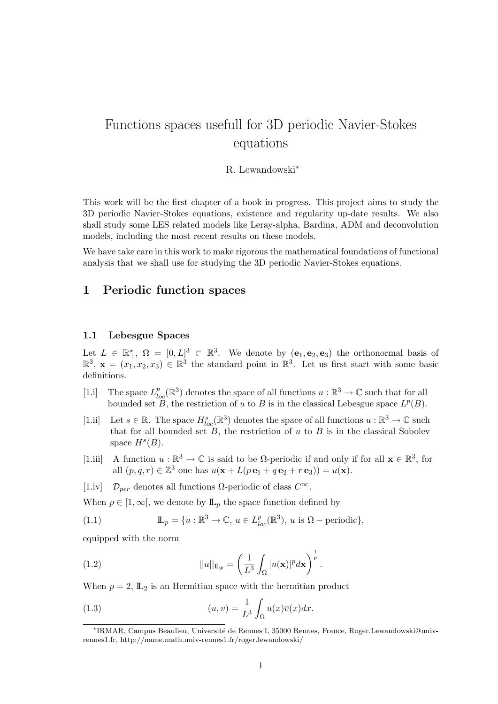# Functions spaces usefull for 3D periodic Navier-Stokes equations

#### R. Lewandowski<sup>∗</sup>

This work will be the first chapter of a book in progress. This project aims to study the 3D periodic Navier-Stokes equations, existence and regularity up-date results. We also shall study some LES related models like Leray-alpha, Bardina, ADM and deconvolution models, including the most recent results on these models.

We have take care in this work to make rigorous the mathematical foundations of functional analysis that we shall use for studying the 3D periodic Navier-Stokes equations.

## 1 Periodic function spaces

#### 1.1 Lebesgue Spaces

Let  $L \in \mathbb{R}^*_+$ ,  $\Omega = [0, L]^3 \subset \mathbb{R}^3$ . We denote by  $(e_1, e_2, e_3)$  the orthonormal basis of  $\mathbb{R}^3$ ,  $\mathbf{x} = (x_1, x_2, x_3) \in \mathbb{R}^3$  the standard point in  $\mathbb{R}^3$ . Let us first start with some basic definitions.

- [1.i] The space  $L_{loc}^p(\mathbb{R}^3)$  denotes the space of all functions  $u : \mathbb{R}^3 \to \mathbb{C}$  such that for all bounded set B, the restriction of u to B is in the classical Lebesgue space  $L^p(B)$ .
- [1.ii] Let  $s \in \mathbb{R}$ . The space  $H_{loc}^s(\mathbb{R}^3)$  denotes the space of all functions  $u : \mathbb{R}^3 \to \mathbb{C}$  such that for all bounded set  $B$ , the restriction of  $u$  to  $B$  is in the classical Sobolev space  $H^s(B)$ .
- [1.iii] A function  $u : \mathbb{R}^3 \to \mathbb{C}$  is said to be  $\Omega$ -periodic if and only if for all  $\mathbf{x} \in \mathbb{R}^3$ , for all  $(p, q, r) \in \mathbb{Z}^3$  one has  $u(\mathbf{x} + L(p \mathbf{e}_1 + q \mathbf{e}_2 + r \mathbf{e}_3)) = u(\mathbf{x})$ .
- [1.iv]  $\mathcal{D}_{per}$  denotes all functions  $\Omega$ -periodic of class  $C^{\infty}$ .

When  $p \in [1,\infty]$ , we denote by  $\mathbb{L}_p$  the space function defined by

(1.1) 
$$
\mathbb{L}_p = \{u : \mathbb{R}^3 \to \mathbb{C}, u \in L^p_{loc}(\mathbb{R}^3), u \text{ is } \Omega - \text{periodic}\},
$$

equipped with the norm

(1.2) 
$$
||u||_{\mathbb{L}_p} = \left(\frac{1}{L^3} \int_{\Omega} |u(\mathbf{x})|^p d\mathbf{x}\right)^{\frac{1}{p}}.
$$

When  $p = 2$ ,  $\mathbb{L}_2$  is an Hermitian space with the hermitian product

(1.3) 
$$
(u,v) = \frac{1}{L^3} \int_{\Omega} u(x)\overline{v}(x)dx.
$$

<sup>∗</sup> IRMAR, Campus Beaulieu, Universit´e de Rennes I, 35000 Rennes, France, Roger.Lewandowski@univrennes1.fr, http://name.math.univ-rennes1.fr/roger.lewandowski/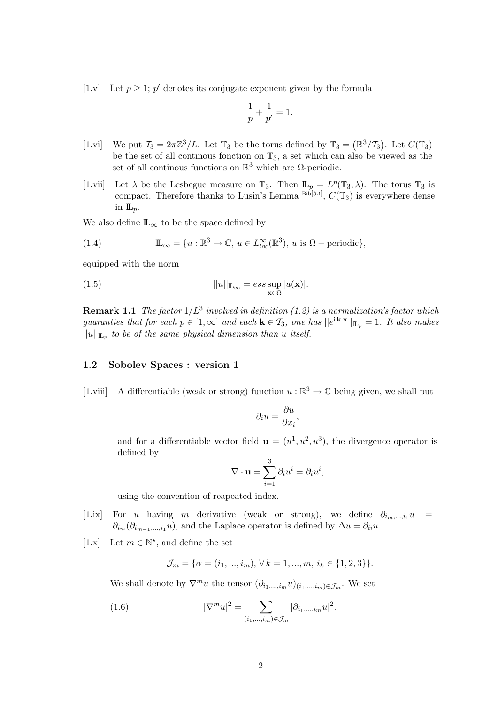[1.v] Let  $p \geq 1$ ; p' denotes its conjugate exponent given by the formula

$$
\frac{1}{p} + \frac{1}{p'} = 1.
$$

- [1.vi] We put  $\mathcal{T}_3 = 2\pi \mathbb{Z}^3/L$ . Let  $\mathbb{T}_3$  be the torus defined by  $\mathbb{T}_3 = (\mathbb{R}^3/\mathcal{T}_3)$ . Let  $C(\mathbb{T}_3)$ be the set of all continous fonction on  $\mathbb{T}_3$ , a set which can also be viewed as the set of all continous functions on  $\mathbb{R}^3$  which are  $\Omega$ -periodic.
- [1.vii] Let  $\lambda$  be the Lesbegue measure on  $\mathbb{T}_3$ . Then  $\mathbb{L}_p = L^p(\mathbb{T}_3, \lambda)$ . The torus  $\mathbb{T}_3$  is compact. Therefore thanks to Lusin's Lemma  $\text{Bib}[5.1], C(\mathbb{T}_3)$  is everywhere dense in  $\mathbb{L}_p$ .

We also define  $\mathbb{L}_{\infty}$  to be the space defined by

(1.4) 
$$
\mathbb{L}_{\infty} = \{u : \mathbb{R}^3 \to \mathbb{C}, u \in L_{loc}^{\infty}(\mathbb{R}^3), u \text{ is } \Omega - \text{periodic}\},
$$

equipped with the norm

(1.5) 
$$
||u||_{\mathbb{L}_{\infty}} = ess \sup_{\mathbf{x} \in \Omega} |u(\mathbf{x})|.
$$

**Remark 1.1** The factor  $1/L^3$  involved in definition (1.2) is a normalization's factor which guaranties that for each  $p \in [1,\infty]$  and each  $\mathbf{k} \in \mathcal{T}_3$ , one has  $||e^{i\mathbf{k}\cdot\mathbf{x}}||_{\mathbb{L}_p} = 1$ . It also makes  $||u||_{\mathbb{L}_p}$  to be of the same physical dimension than u itself.

### 1.2 Sobolev Spaces : version 1

[1.viii] A differentiable (weak or strong) function  $u : \mathbb{R}^3 \to \mathbb{C}$  being given, we shall put

$$
\partial_i u = \frac{\partial u}{\partial x_i},
$$

and for a differentiable vector field  $\mathbf{u} = (u^1, u^2, u^3)$ , the divergence operator is defined by

$$
\nabla \cdot \mathbf{u} = \sum_{i=1}^{3} \partial_i u^i = \partial_i u^i,
$$

using the convention of reapeated index.

- [1.ix] For u having m derivative (weak or strong), we define  $\partial_{i_m,...,i_1}u =$  $\partial_{i_m}(\partial_{i_{m-1},...,i_1}u)$ , and the Laplace operator is defined by  $\Delta u = \partial_{ii}u$ .
- [1.x] Let  $m \in \mathbb{N}^*$ , and define the set

$$
\mathcal{J}_m = \{ \alpha = (i_1, ..., i_m), \forall k = 1, ..., m, i_k \in \{1, 2, 3\} \}.
$$

We shall denote by  $\nabla^m u$  the tensor  $(\partial_{i_1,\dots,i_m} u)_{(i_1,\dots,i_m)\in\mathcal{J}_m}$ . We set

(1.6) 
$$
|\nabla^m u|^2 = \sum_{(i_1,...,i_m)\in\mathcal{J}_m} |\partial_{i_1,...,i_m} u|^2.
$$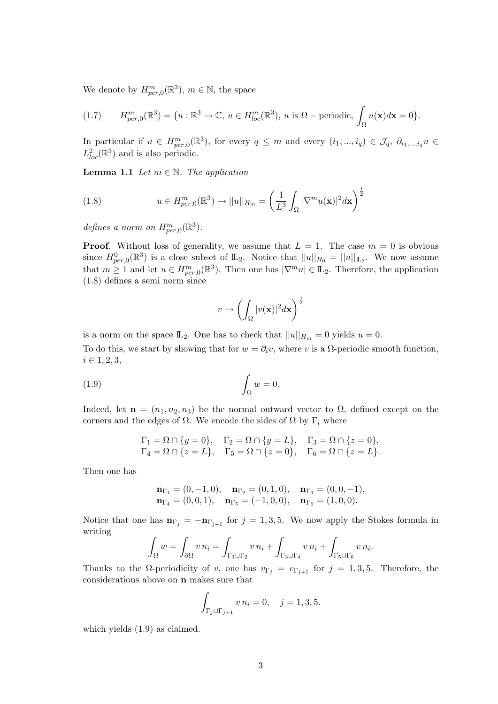We denote by  $H^m_{per,0}(\mathbb{R}^3)$ ,  $m \in \mathbb{N}$ , the space

$$
(1.7) \qquad H^{m}_{per,0}(\mathbb{R}^3) = \{u : \mathbb{R}^3 \to \mathbb{C}, u \in H^{m}_{loc}(\mathbb{R}^3), u \text{ is } \Omega - \text{periodic}, \int_{\Omega} u(\mathbf{x}) d\mathbf{x} = 0\}.
$$

In particular if  $u \in H^m_{per,0}(\mathbb{R}^3)$ , for every  $q \leq m$  and every  $(i_1, ..., i_q) \in \mathcal{J}_q$ ,  $\partial_{i_1,...,i_q} u \in$  $L^2_{loc}(\mathbb{R}^3)$  and is also periodic.

**Lemma 1.1** Let  $m \in \mathbb{N}$ . The application

(1.8) 
$$
u \in H_{per,0}^m(\mathbb{R}^3) \to ||u||_{H_m} = \left(\frac{1}{L^3} \int_{\Omega} |\nabla^m u(\mathbf{x})|^2 d\mathbf{x}\right)^{\frac{1}{2}}
$$

defines a norm on  $H^m_{per,0}(\mathbb{R}^3)$ .

**Proof.** Without loss of generality, we assume that  $L = 1$ . The case  $m = 0$  is obvious since  $H_{per,0}^{0}(\mathbb{R}^{3})$  is a close subset of  $\mathbb{L}_{2}$ . Notice that  $||u||_{H_{0}} = ||u||_{\mathbb{L}_{2}}$ . We now assume that  $m \geq 1$  and let  $u \in H^m_{per,0}(\mathbb{R}^3)$ . Then one has  $|\nabla^m u| \in \mathbb{L}_2$ . Therefore, the application (1.8) defines a semi norm since

$$
v \to \left(\int_{\Omega} |v(\mathbf{x})|^2 d\mathbf{x}\right)^{\frac{1}{2}}
$$

is a norm on the space  $\mathbb{L}_2$ . One has to check that  $||u||_{H_m} = 0$  yields  $u = 0$ . To do this, we start by showing that for  $w = \partial_i v$ , where v is a  $\Omega$ -periodic smooth function,  $i \in {1, 2, 3}$ ,

$$
(1.9) \t\t \t\t \t\t \int_{\Omega} w = 0.
$$

Indeed, let  $\mathbf{n} = (n_1, n_2, n_3)$  be the normal outward vector to  $\Omega$ , defined except on the corners and the edges of  $\Omega$ . We encode the sides of  $\Omega$  by  $\Gamma_i$  where

$$
\Gamma_1 = \Omega \cap \{y = 0\},
$$
\n $\Gamma_2 = \Omega \cap \{y = L\},$ \n $\Gamma_3 = \Omega \cap \{z = 0\},$ \n $\Gamma_4 = \Omega \cap \{z = L\},$ \n $\Gamma_5 = \Omega \cap \{z = 0\},$ \n $\Gamma_6 = \Omega \cap \{z = L\}.$ 

Then one has

$$
\begin{array}{llll} \mathbf{n}_{\Gamma_1}=(0,-1,0), & \mathbf{n}_{\Gamma_2}=(0,1,0), & \mathbf{n}_{\Gamma_3}=(0,0,-1), \\ \mathbf{n}_{\Gamma_4}=(0,0,1), & \mathbf{n}_{\Gamma_5}=(-1,0,0), & \mathbf{n}_{\Gamma_6}=(1,0,0). \end{array}
$$

Notice that one has  $n_{\Gamma_j} = -n_{\Gamma_{j+1}}$  for  $j = 1, 3, 5$ . We now apply the Stokes formula in writing

$$
\int_{\Omega} w = \int_{\partial \Omega} v \, n_i = \int_{\Gamma_1 \cup \Gamma_2} v \, n_i + \int_{\Gamma_3 \cup \Gamma_4} v \, n_i + \int_{\Gamma_5 \cup \Gamma_6} v \, n_i.
$$

Thanks to the Ω-periodicity of v, one has  $v_{\Gamma_i} = v_{\Gamma_{i+1}}$  for  $j = 1, 3, 5$ . Therefore, the considerations above on n makes sure that

$$
\int_{\Gamma_j \cup \Gamma_{j+1}} v \, n_i = 0, \quad j = 1, 3, 5.
$$

which yields (1.9) as claimed.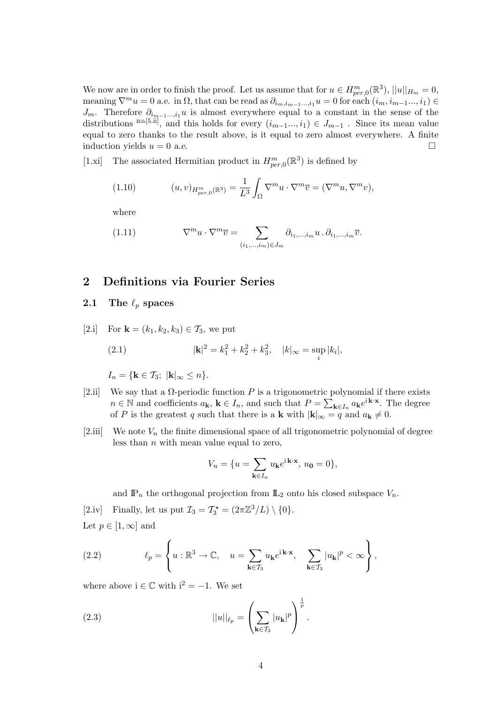We now are in order to finish the proof. Let us assume that for  $u \in H_{per,0}^m(\mathbb{R}^3)$ ,  $||u||_{H_m} = 0$ , meaning  $\nabla^m u = 0$  a.e. in  $\Omega$ , that can be read as  $\partial_{i_m,i_{m-1}...,i_1} u = 0$  for each  $(i_m,i_{m-1}...,i_1) \in$  $J_m$ . Therefore  $\partial_{i_{m-1}...i_1}u$  is almost everywhere equal to a constant in the sense of the distributions <sup>Bib[5.ii]</sup>, and this holds for every  $(i_{m-1}...,i_1) \in J_{m-1}$ . Since its mean value equal to zero thanks to the result above, is it equal to zero almost everywhere. A finite induction yields  $u = 0$  a.e.

[1.xi] The associated Hermitian product in  $H^m_{per,0}(\mathbb{R}^3)$  is defined by

(1.10) 
$$
(u,v)_{H^m_{per,0}(\mathbb{R}^3)} = \frac{1}{L^3} \int_{\Omega} \nabla^m u \cdot \nabla^m \overline{v} = (\nabla^m u, \nabla^m v),
$$

where

(1.11) 
$$
\nabla^m u \cdot \nabla^m \overline{v} = \sum_{(i_1,\ldots,i_m)\in J_m} \partial_{i_1,\ldots,i_m} u \cdot \partial_{i_1,\ldots,i_m} \overline{v}.
$$

# 2 Definitions via Fourier Series

## 2.1 The  $\ell_p$  spaces

[2.i] For 
$$
\mathbf{k} = (k_1, k_2, k_3) \in \mathcal{T}_3
$$
, we put

(2.1) 
$$
|\mathbf{k}|^2 = k_1^2 + k_2^2 + k_3^2, \quad |k|_{\infty} = \sup_i |k_i|,
$$

 $I_n = \{ \mathbf{k} \in \mathcal{T}_3; \ |\mathbf{k}|_{\infty} \leq n \}.$ 

- [2.ii] We say that a  $\Omega$ -periodic function P is a trigonometric polynomial if there exists  $n \in \mathbb{N}$  and coefficients  $a_k$ ,  $k \in I_n$ , and such that  $P = \sum_{k \in I_n} a_k e^{i k \cdot x}$ . The degree of P is the greatest q such that there is a k with  $|\mathbf{k}|_{\infty} = q$  and  $a_{\mathbf{k}} \neq 0$ .
- [2.iii] We note  $V_n$  the finite dimensional space of all trigonometric polynomial of degree less than  $n$  with mean value equal to zero,

$$
V_n = \{u = \sum_{\mathbf{k} \in I_n} u_{\mathbf{k}} e^{i \mathbf{k} \cdot \mathbf{x}}, u_0 = 0\},\
$$

and  $\mathbb{P}_n$  the orthogonal projection from  $\mathbb{L}_2$  onto his closed subspace  $V_n$ .

[2.iv] Finally, let us put  $\mathcal{I}_3 = \mathcal{T}_3^{\star} = (2\pi \mathbb{Z}^3/L) \setminus \{0\}.$ Let  $p \in [1,\infty]$  and

(2.2) 
$$
\ell_p = \left\{ u : \mathbb{R}^3 \to \mathbb{C}, \quad u = \sum_{\mathbf{k} \in \mathcal{T}_3} u_{\mathbf{k}} e^{i \mathbf{k} \cdot \mathbf{x}}, \sum_{\mathbf{k} \in \mathcal{T}_3} |u_{\mathbf{k}}|^p < \infty \right\},
$$

where above  $i \in \mathbb{C}$  with  $i^2 = -1$ . We set

(2.3) 
$$
||u||_{\ell_p} = \left(\sum_{\mathbf{k} \in \mathcal{T}_3} |u_{\mathbf{k}}|^p\right)^{\frac{1}{p}}.
$$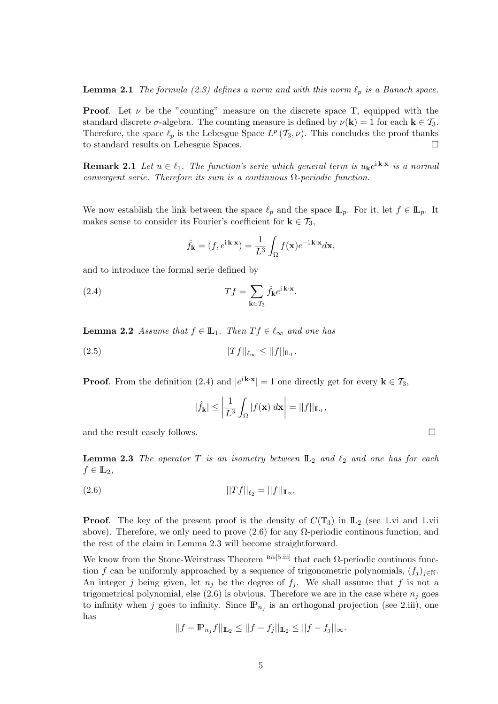**Lemma 2.1** The formula (2.3) defines a norm and with this norm  $\ell_p$  is a Banach space.

**Proof.** Let  $\nu$  be the "counting" measure on the discrete space T, equipped with the standard discrete  $\sigma$ -algebra. The counting measure is defined by  $\nu(\mathbf{k}) = 1$  for each  $\mathbf{k} \in \mathcal{T}_3$ . Therefore, the space  $\ell_p$  is the Lebesgue Space  $L^p(\mathcal{T}_3, \nu)$ . This concludes the proof thanks to standard results on Lebesgue Spaces.

**Remark 2.1** Let  $u \in \ell_1$ . The function's serie which general term is  $u_{\mathbf{k}}e^{i\mathbf{k}\cdot\mathbf{x}}$  is a normal convergent serie. Therefore its sum is a continuous  $\Omega$ -periodic function.

We now establish the link between the space  $\ell_p$  and the space  $\mathbb{L}_p$ . For it, let  $f \in \mathbb{L}_p$ . It makes sense to consider its Fourier's coefficient for  $\mathbf{k} \in \mathcal{T}_3$ ,

$$
\hat{f}_{\mathbf{k}} = (f, e^{i\mathbf{k}\cdot\mathbf{x}}) = \frac{1}{L^3} \int_{\Omega} f(\mathbf{x}) e^{-i\mathbf{k}\cdot\mathbf{x}} d\mathbf{x},
$$

.

and to introduce the formal serie defined by

(2.4) 
$$
Tf = \sum_{\mathbf{k} \in \mathcal{T}_3} \hat{f}_{\mathbf{k}} e^{\mathbf{i} \cdot \mathbf{k} \cdot \mathbf{x}}
$$

**Lemma 2.2** Assume that  $f \in \mathbb{L}_1$ . Then  $Tf \in \ell_{\infty}$  and one has

(2.5)  $||Tf||_{\ell_{\infty}} \leq ||f||_{\mathbb{L}_{1}}.$ 

**Proof.** From the definition (2.4) and  $|e^{i\mathbf{k} \cdot \mathbf{x}}| = 1$  one directly get for every  $\mathbf{k} \in \mathcal{T}_3$ ,

$$
|\hat{f}_{\mathbf{k}}| \leq \left|\frac{1}{L^3} \int_{\Omega} |f(\mathbf{x})| d\mathbf{x}\right| = ||f||_{\mathbb{L}_1},
$$

and the result easely follows.

**Lemma 2.3** The operator T is an isometry between  $\mathbb{L}_2$  and  $\ell_2$  and one has for each  $f \in L_2$ ,

(2.6) 
$$
||Tf||_{\ell_2} = ||f||_{\mathbb{L}_2}.
$$

**Proof.** The key of the present proof is the density of  $C(T_3)$  in  $\mathbb{L}_2$  (see 1.vi and 1.vii) above). Therefore, we only need to prove  $(2.6)$  for any  $\Omega$ -periodic continous function, and the rest of the claim in Lemma 2.3 will become straightforward.

We know from the Stone-Weirstrass Theorem  $\frac{B_{ib}[5,iii]}{h}$  that each  $\Omega$ -periodic continous function f can be uniformly approached by a sequence of trigonometric polynomials,  $(f_i)_{i\in\mathbb{N}}$ . An integer j being given, let  $n_j$  be the degree of  $f_j$ . We shall assume that f is not a trigometrical polynomial, else  $(2.6)$  is obvious. Therefore we are in the case where  $n_j$  goes to infinity when j goes to infinity. Since  $\mathbb{P}_{n_j}$  is an orthogonal projection (see 2.iii), one has

$$
||f - \mathbf{P}_{n_j}f||_{\mathbb{L}_2} \le ||f - f_j||_{\mathbb{L}_2} \le ||f - f_j||_{\infty}.
$$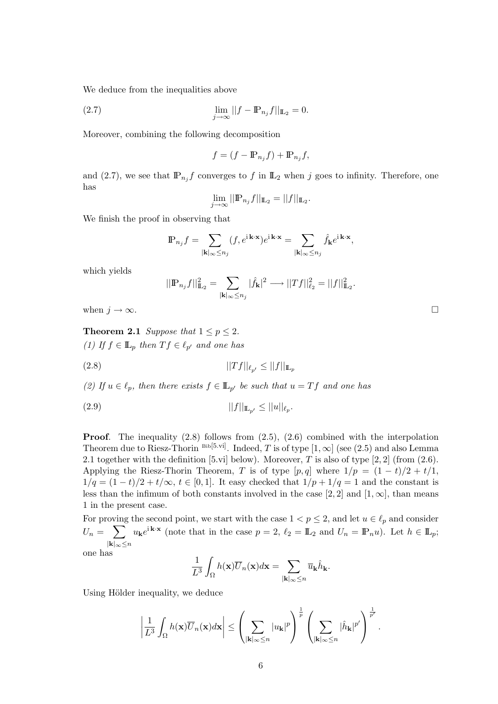We deduce from the inequalities above

(2.7) 
$$
\lim_{j \to \infty} ||f - \mathbb{P}_{n_j} f||_{\mathbb{L}_2} = 0.
$$

Moreover, combining the following decomposition

$$
f = (f - \mathbb{P}_{n_j}f) + \mathbb{P}_{n_j}f,
$$

and (2.7), we see that  $\mathbb{P}_{n_j} f$  converges to f in  $\mathbb{L}_2$  when j goes to infinity. Therefore, one has

$$
\lim_{j\to\infty}||\mathbb{P}_{n_j}f||_{\mathbb{L}_2}=||f||_{\mathbb{L}_2}.
$$

We finish the proof in observing that

$$
\mathbb{P}_{n_j} f = \sum_{|\mathbf{k}|_{\infty} \le n_j} (f, e^{i\mathbf{k} \cdot \mathbf{x}}) e^{i\mathbf{k} \cdot \mathbf{x}} = \sum_{|\mathbf{k}|_{\infty} \le n_j} \hat{f}_{\mathbf{k}} e^{i\mathbf{k} \cdot \mathbf{x}},
$$

which yields

$$
||\mathbb{P}_{n_j}f||_{\mathbb{L}_2}^2 = \sum_{|\mathbf{k}|_{\infty} \leq n_j} |\hat{f}_{\mathbf{k}}|^2 \longrightarrow ||Tf||_{\ell_2}^2 = ||f||_{\mathbb{L}_2}^2.
$$

when  $j \to \infty$ .

#### **Theorem 2.1** Suppose that  $1 \leq p \leq 2$ .

(1) If  $f \in \mathbb{L}_p$  then  $Tf \in \ell_{p'}$  and one has

(2.8) 
$$
||Tf||_{\ell_{p'}} \le ||f||_{\mathbb{L}_p}
$$

(2) If  $u \in \ell_p$ , then there exists  $f \in \mathbb{L}_{p'}$  be such that  $u = Tf$  and one has

(2.9) 
$$
||f||_{\mathbb{L}_{p'}} \leq ||u||_{\ell_p}.
$$

Proof. The inequality  $(2.8)$  follows from  $(2.5)$ ,  $(2.6)$  combined with the interpolation Theorem due to Riesz-Thorin Bib[5.vi]. Indeed, T is of type  $[1,\infty]$  (see (2.5) and also Lemma 2.1 together with the definition [5.vi] below). Moreover, T is also of type  $[2, 2]$  (from  $(2.6)$ . Applying the Riesz-Thorin Theorem, T is of type  $[p, q]$  where  $1/p = (1 - t)/2 + t/1$ ,  $1/q = (1-t)/2 + t/\infty$ ,  $t \in [0,1]$ . It easy checked that  $1/p + 1/q = 1$  and the constant is less than the infimum of both constants involved in the case [2, 2] and [1, ∞], than means 1 in the present case.

For proving the second point, we start with the case  $1 < p \leq 2$ , and let  $u \in \ell_p$  and consider  $U_n = \sum$  $|\mathbf{k}|_{\infty}$  $\leq$ n  $u_{\mathbf{k}}e^{\mathbf{i}\,\mathbf{k}\cdot\mathbf{x}}$  (note that in the case  $p=2$ ,  $\ell_2 = \mathbb{L}_2$  and  $U_n = \mathbb{P}_n u$ ). Let  $h \in \mathbb{L}_p$ ;

one has

$$
\frac{1}{L^3} \int_{\Omega} h(\mathbf{x}) \overline{U}_n(\mathbf{x}) d\mathbf{x} = \sum_{|\mathbf{k}|_{\infty} \leq n} \overline{u}_{\mathbf{k}} \hat{h}_{\mathbf{k}}.
$$

Using Hölder inequality, we deduce

$$
\left|\frac{1}{L^3}\int_{\Omega}h(\mathbf{x})\overline{U}_n(\mathbf{x})d\mathbf{x}\right|\leq\left(\sum_{|\mathbf{k}|_{\infty}\leq n}|u_{\mathbf{k}}|^p\right)^{\frac{1}{p}}\left(\sum_{|\mathbf{k}|_{\infty}\leq n}|\hat{h}_{\mathbf{k}}|^{p'}\right)^{\frac{1}{p'}}.
$$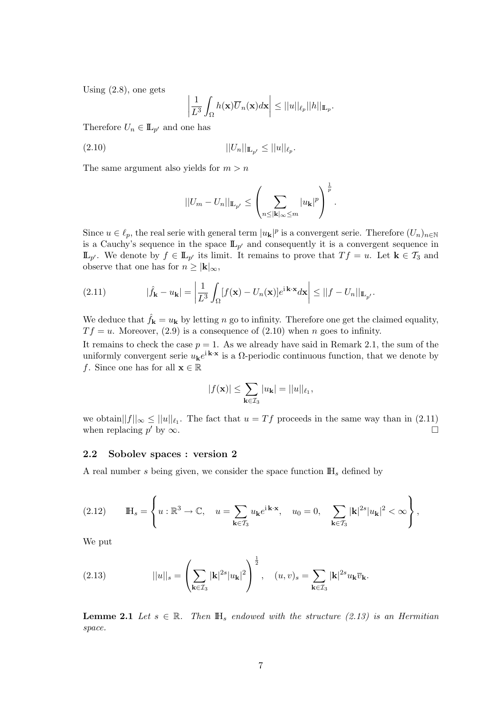Using (2.8), one gets

$$
\left|\frac{1}{L^3}\int_{\Omega}h(\mathbf{x})\overline{U}_n(\mathbf{x})d\mathbf{x}\right|\leq ||u||_{\ell_p}||h||_{\mathbb{L}_p}.
$$

Therefore  $U_n \in \mathbb{L}_{p'}$  and one has

(2.10) 
$$
||U_n||_{\mathbb{L}_{p'}} \leq ||u||_{\ell_p}.
$$

The same argument also yields for  $m > n$ 

$$
||U_m - U_n||_{\mathbb{L}_{p'}} \leq \left(\sum_{n \leq |\mathbf{k}|_{\infty} \leq m} |u_{\mathbf{k}}|^p\right)^{\frac{1}{p}}.
$$

Since  $u \in \ell_p$ , the real serie with general term  $|u_{\mathbf{k}}|^p$  is a convergent serie. Therefore  $(U_n)_{n\in\mathbb{N}}$ is a Cauchy's sequence in the space  $\mathbb{L}_{p'}$  and consequently it is a convergent sequence in  $\mathbb{L}_{p'}$ . We denote by  $f \in \mathbb{L}_{p'}$  its limit. It remains to prove that  $Tf = u$ . Let  $\mathbf{k} \in \mathcal{T}_3$  and observe that one has for  $n \geq |\mathbf{k}|_{\infty}$ ,

(2.11) 
$$
|\hat{f}_{\mathbf{k}} - u_{\mathbf{k}}| = \left| \frac{1}{L^3} \int_{\Omega} [f(\mathbf{x}) - U_n(\mathbf{x})] e^{i \mathbf{k} \cdot \mathbf{x}} d\mathbf{x} \right| \le ||f - U_n||_{\mathbb{L}_{p'}}
$$

We deduce that  $\hat{f}_{\mathbf{k}} = u_{\mathbf{k}}$  by letting n go to infinity. Therefore one get the claimed equality,  $T f = u$ . Moreover, (2.9) is a consequence of (2.10) when n goes to infinity.

.

It remains to check the case  $p = 1$ . As we already have said in Remark 2.1, the sum of the uniformly convergent serie  $u_{\mathbf{k}}e^{i\mathbf{k}\cdot\mathbf{x}}$  is a  $\Omega$ -periodic continuous function, that we denote by f. Since one has for all  $\mathbf{x} \in \mathbb{R}$ 

$$
|f(\mathbf{x})| \leq \sum_{\mathbf{k} \in \mathcal{I}_3} |u_{\mathbf{k}}| = ||u||_{\ell_1},
$$

we obtain $||f||_{\infty} \le ||u||_{\ell_1}$ . The fact that  $u = Tf$  proceeds in the same way than in (2.11) when replacing  $p'$  by  $\infty$ .  $\cup$  by  $\infty$ .

#### 2.2 Sobolev spaces : version 2

A real number s being given, we consider the space function  $\mathbb{H}_s$  defined by

(2.12) IH<sup>s</sup> = u : R <sup>3</sup> → C, u = X k∈T<sup>3</sup> uke i k·x , u<sup>0</sup> = 0, X k∈T<sup>3</sup> |k| 2s |uk| <sup>2</sup> < ∞ ,

We put

(2.13) 
$$
||u||_s = \left(\sum_{\mathbf{k}\in\mathcal{I}_3} |\mathbf{k}|^{2s} |u_{\mathbf{k}}|^2\right)^{\frac{1}{2}}, \quad (u,v)_s = \sum_{\mathbf{k}\in\mathcal{I}_3} |\mathbf{k}|^{2s} u_{\mathbf{k}} \overline{v}_{\mathbf{k}}.
$$

**Lemme 2.1** Let  $s \in \mathbb{R}$ . Then  $\mathbb{H}_s$  endowed with the structure (2.13) is an Hermitian space.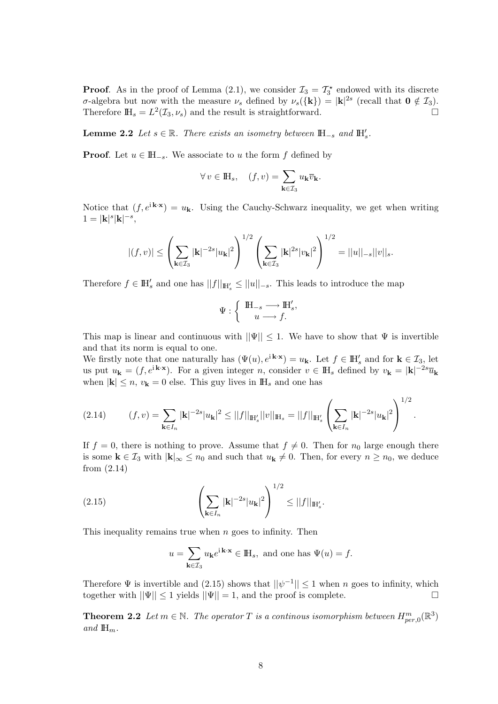**Proof.** As in the proof of Lemma (2.1), we consider  $\mathcal{I}_3 = \mathcal{T}_3^*$  endowed with its discrete σ-algebra but now with the measure  $\nu_s$  defined by  $\nu_s({\bf k}) = |{\bf k}|^{2s}$  (recall that  ${\bf 0} \notin I_3$ ). Therefore  $\mathbb{H}_s = L^2(\mathcal{I}_3, \nu_s)$  and the result is straightforward.

**Lemme 2.2** Let  $s \in \mathbb{R}$ . There exists an isometry between  $\mathbb{H}_{-s}$  and  $\mathbb{H}'_s$ .

**Proof.** Let  $u \in \mathbb{H}_{-s}$ . We associate to u the form f defined by

$$
\forall v \in \mathbb{H}_s, \quad (f, v) = \sum_{\mathbf{k} \in \mathcal{I}_3} u_{\mathbf{k}} \overline{v}_{\mathbf{k}}.
$$

Notice that  $(f, e^{i\mathbf{k}\cdot\mathbf{x}}) = u_{\mathbf{k}}$ . Using the Cauchy-Schwarz inequality, we get when writing  $1 = |{\bf k}|^{s} |{\bf k}|^{-s},$ 

$$
|(f,v)| \leq \left(\sum_{{\mathbf k}\in \mathcal I_3} |{\mathbf k}|^{-2s}|u_{\mathbf k}|^2\right)^{1/2}\left(\sum_{{\mathbf k}\in \mathcal I_3} |{\mathbf k}|^{2s}|v_{\mathbf k}|^2\right)^{1/2}=||u||_{-s}||v||_s.
$$

Therefore  $f \in \mathbb{H}'_s$  and one has  $||f||_{\mathbb{H}'_s} \le ||u||_{-s}$ . This leads to introduce the map

$$
\Psi : \left\{ \begin{array}{c} \mathrm{I\!H}_{-s} \longrightarrow \mathrm{I\!H}'_s, \\ u \longrightarrow f. \end{array} \right.
$$

This map is linear and continuous with  $||\Psi|| \leq 1$ . We have to show that  $\Psi$  is invertible and that its norm is equal to one.

We firstly note that one naturally has  $(\Psi(u), e^{i\mathbf{k}\cdot\mathbf{x}}) = u_{\mathbf{k}}$ . Let  $f \in \mathbb{H}'_s$  and for  $\mathbf{k} \in \mathcal{I}_3$ , let us put  $u_{\mathbf{k}} = (f, e^{i\mathbf{k}\cdot\mathbf{x}})$ . For a given integer n, consider  $v \in \mathbb{H}_s$  defined by  $v_{\mathbf{k}} = |\mathbf{k}|^{-2s}\overline{u}_{\mathbf{k}}$ when  $|\mathbf{k}| \leq n$ ,  $v_{\mathbf{k}} = 0$  else. This guy lives in  $\mathbb{H}_s$  and one has

$$
(2.14) \t(f, v) = \sum_{\mathbf{k}\in I_n} |\mathbf{k}|^{-2s}|u_{\mathbf{k}}|^2 \le ||f||_{\mathbb{H}_s'}||v||_{\mathbb{H}_s} = ||f||_{\mathbb{H}_s'} \left(\sum_{\mathbf{k}\in I_n} |\mathbf{k}|^{-2s}|u_{\mathbf{k}}|^2\right)^{1/2}.
$$

If  $f = 0$ , there is nothing to prove. Assume that  $f \neq 0$ . Then for  $n_0$  large enough there is some  $\mathbf{k} \in \mathcal{I}_3$  with  $|\mathbf{k}|_{\infty} \leq n_0$  and such that  $u_{\mathbf{k}} \neq 0$ . Then, for every  $n \geq n_0$ , we deduce from (2.14)

(2.15) 
$$
\left(\sum_{\mathbf{k}\in I_n} |\mathbf{k}|^{-2s}|u_{\mathbf{k}}|^2\right)^{1/2} \leq ||f||_{\mathbb{H}'_s}.
$$

This inequality remains true when  $n$  goes to infinity. Then

$$
u = \sum_{\mathbf{k} \in \mathcal{I}_3} u_{\mathbf{k}} e^{i \mathbf{k} \cdot \mathbf{x}} \in \mathbb{H}_s
$$
, and one has  $\Psi(u) = f$ .

Therefore  $\Psi$  is invertible and (2.15) shows that  $||\psi^{-1}|| \leq 1$  when n goes to infinity, which together with  $||\Psi|| \le 1$  yields  $||\Psi|| = 1$ , and the proof is complete.

**Theorem 2.2** Let  $m \in \mathbb{N}$ . The operator T is a continuous isomorphism between  $H_{per,0}^m(\mathbb{R}^3)$ and  $\mathbb{H}_m$ .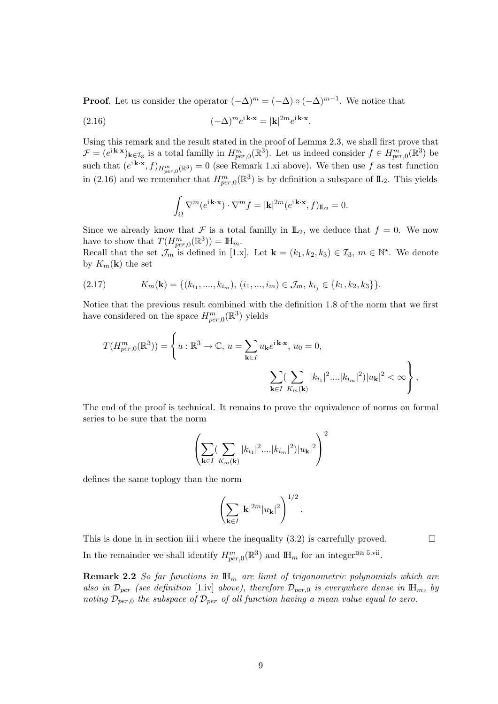**Proof.** Let us consider the operator  $(-\Delta)^m = (-\Delta) \circ (-\Delta)^{m-1}$ . We notice that

(2.16) 
$$
(-\Delta)^m e^{i\mathbf{k}\cdot\mathbf{x}} = |\mathbf{k}|^{2m} e^{i\mathbf{k}\cdot\mathbf{x}}
$$

Using this remark and the result stated in the proof of Lemma 2.3, we shall first prove that  $\mathcal{F} = (e^{i\mathbf{k} \cdot \mathbf{x}})_{\mathbf{k} \in \mathcal{I}_3}$  is a total familly in  $H^m_{per,0}(\mathbb{R}^3)$ . Let us indeed consider  $f \in H^m_{per,0}(\mathbb{R}^3)$  be such that  $(e^{i\mathbf{k}\cdot\mathbf{x}},f)_{H_{per,0}^m(\mathbb{R}^3)}=0$  (see Remark 1.xi above). We then use f as test function in (2.16) and we remember that  $H_{per,0}^m(\mathbb{R}^3)$  is by definition a subspace of  $\mathbb{L}_2$ . This yields

.

$$
\int_{\Omega} \nabla^{m} (e^{i\mathbf{k}\cdot\mathbf{x}}) \cdot \nabla^{m} f = |\mathbf{k}|^{2m} (e^{i\mathbf{k}\cdot\mathbf{x}}, f)_{\mathbb{L}_{2}} = 0.
$$

Since we already know that F is a total familly in  $\mathbb{L}_2$ , we deduce that  $f = 0$ . We now have to show that  $T(H_{per,0}^m(\mathbb{R}^3)) = \mathbb{H}_m$ .

Recall that the set  $\mathcal{J}_m$  is defined in [1.x]. Let  $\mathbf{k} = (k_1, k_2, k_3) \in \mathcal{I}_3$ ,  $m \in \mathbb{N}^*$ . We denote by  $K_m(\mathbf{k})$  the set

$$
(2.17) \t K_m(\mathbf{k}) = \{ (k_{i_1}, \dots, k_{i_m}), (i_1, \dots, i_m) \in \mathcal{J}_m, k_{i_j} \in \{k_1, k_2, k_3\} \}.
$$

Notice that the previous result combined with the definition 1.8 of the norm that we first have considered on the space  $H^m_{per,0}(\mathbb{R}^3)$  yields

$$
T(H_{per,0}^{m}(\mathbb{R}^{3})) = \left\{ u : \mathbb{R}^{3} \to \mathbb{C}, u = \sum_{\mathbf{k} \in I} u_{\mathbf{k}} e^{i\mathbf{k} \cdot \mathbf{x}}, u_{0} = 0, \sum_{\mathbf{k} \in I} (\sum_{K_{m}(\mathbf{k})} |k_{i_{1}}|^{2} \dots |k_{i_{m}}|^{2}) |u_{\mathbf{k}}|^{2} < \infty \right\},
$$

The end of the proof is technical. It remains to prove the equivalence of norms on formal series to be sure that the norm

$$
\left(\sum_{{\bf k}\in I}(\sum_{K_m({\bf k})}|k_{i_1}|^2....|k_{i_m}|^2)|u_{\bf k}|^2\right)^2
$$

defines the same toplogy than the norm

$$
\left(\sum_{\mathbf{k}\in I}|\mathbf{k}|^{2m}|u_{\mathbf{k}}|^2\right)^{1/2}.
$$

This is done in in section iii. i where the inequality  $(3.2)$  is carrefully proved. In the remainder we shall identify  $H_{per,0}^m(\mathbb{R}^3)$  and  $\mathbb{H}_m$  for an integer<sup>Bib 5.vii</sup>.

**Remark 2.2** So far functions in  $\mathbb{H}_m$  are limit of trigonometric polynomials which are also in  $\mathcal{D}_{per}$  (see definition [1.iv] above), therefore  $\mathcal{D}_{per,0}$  is everywhere dense in  $\mathbb{H}_m$ , by noting  $\mathcal{D}_{per,0}$  the subspace of  $\mathcal{D}_{per}$  of all function having a mean value equal to zero.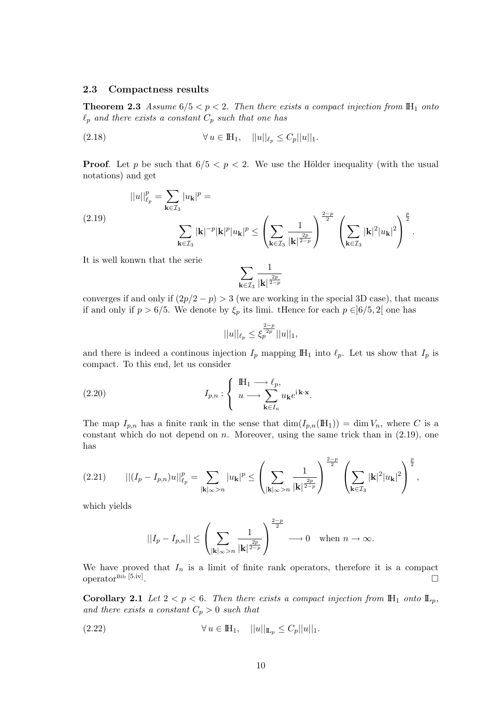#### 2.3 Compactness results

**Theorem 2.3** Assume  $6/5 < p < 2$ . Then there exists a compact injection from  $\mathbb{H}_1$  onto  $\ell_p$  and there exists a constant  $C_p$  such that one has

(2.18) 
$$
\forall u \in \mathbb{H}_1, \quad ||u||_{\ell_p} \leq C_p ||u||_1.
$$

**Proof.** Let p be such that  $6/5 < p < 2$ . We use the Hölder inequality (with the usual notations) and get

$$
||u||_{\ell_p}^p = \sum_{\mathbf{k} \in \mathcal{I}_3} |u_{\mathbf{k}}|^p = \sum_{\mathbf{k} \in \mathcal{I}_3} |u_{\mathbf{k}}|^p = \sum_{\mathbf{k} \in \mathcal{I}_3} |\mathbf{k}|^{-p} |\mathbf{k}|^p |u_{\mathbf{k}}|^p \le \left(\sum_{\mathbf{k} \in \mathcal{I}_3} \frac{1}{|\mathbf{k}|^{\frac{2p}{2-p}}}\right)^{\frac{2-p}{2}} \left(\sum_{\mathbf{k} \in \mathcal{I}_3} |\mathbf{k}|^2 |u_{\mathbf{k}}|^2\right)^{\frac{p}{2}}.
$$

It is well konwn that the serie

$$
\sum_{\mathbf{k}\in\mathcal{I}_3}\frac{1}{|\mathbf{k}|^{\frac{2p}{2-p}}}
$$

converges if and only if  $(2p/2 - p) > 3$  (we are working in the special 3D case), that means if and only if  $p > 6/5$ . We denote by  $\xi_p$  its limi. tHence for each  $p \in ]6/5, 2[$  one has

$$
||u||_{\ell_p} \leq \xi_p^{\frac{2-p}{2p}} ||u||_1,
$$

and there is indeed a continuous injection  $I_p$  mapping  $\mathbb{H}_1$  into  $\ell_p$ . Let us show that  $I_p$  is compact. To this end, let us consider

(2.20) 
$$
I_{p,n}: \begin{cases} \mathbb{H}_1 \longrightarrow \ell_p, \\ u \longrightarrow \sum_{\mathbf{k} \in I_n} u_{\mathbf{k}} e^{i \mathbf{k} \cdot \mathbf{x}}. \end{cases}
$$

The map  $I_{p,n}$  has a finite rank in the sense that  $\dim(I_{p,n}(\mathbb{H}_1)) = \dim V_n$ , where C is a constant which do not depend on  $n$ . Moreover, using the same trick than in  $(2.19)$ , one has

$$
(2.21) \qquad ||(I_p - I_{p,n})u||_{\ell_p}^p = \sum_{|\mathbf{k}|_{\infty} > n} |u_{\mathbf{k}}|^p \le \left(\sum_{|\mathbf{k}|_{\infty} > n} \frac{1}{|\mathbf{k}|^{\frac{2p}{2-p}}}\right)^{\frac{2-p}{2}} \left(\sum_{\mathbf{k} \in \mathcal{I}_3} |\mathbf{k}|^2 |u_{\mathbf{k}}|^2\right)^{\frac{p}{2}},
$$

which yields

$$
||I_p - I_{p,n}|| \le \left(\sum_{|\mathbf{k}|_{\infty} > n} \frac{1}{|\mathbf{k}|^{\frac{2p}{2-p}}}\right)^{\frac{2-p}{2}} \longrightarrow 0 \text{ when } n \to \infty.
$$

We have proved that  $I_n$  is a limit of finite rank operators, therefore it is a compact operator $B_{\text{lib}}$  [5.iv]. . В последните последните последните последните последните последните последните последните последните последн<br>В 1990 година от селото на селото на селото на селото на селото на селото на селото на селото на селото на сел

**Corollary 2.1** Let  $2 < p < 6$ . Then there exists a compact injection from  $\mathbb{H}_1$  onto  $\mathbb{L}_p$ , and there exists a constant  $C_p > 0$  such that

(2.22) 
$$
\forall u \in \mathbb{H}_1, \quad ||u||_{\mathbb{L}_p} \leq C_p ||u||_1.
$$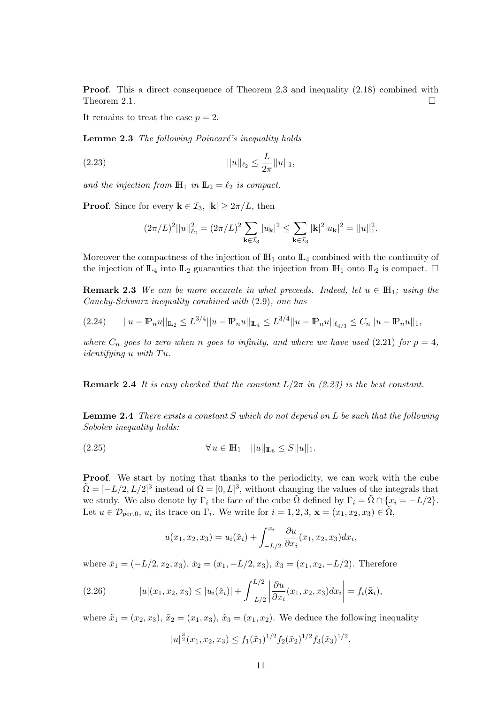Proof. This a direct consequence of Theorem 2.3 and inequality (2.18) combined with Theorem 2.1.  $\Box$ 

It remains to treat the case  $p = 2$ .

**Lemme 2.3** The following Poincaré's inequality holds

(2.23) 
$$
||u||_{\ell_2} \leq \frac{L}{2\pi}||u||_1,
$$

and the injection from  $\mathbb{H}_1$  in  $\mathbb{L}_2 = \ell_2$  is compact.

**Proof.** Since for every  $\mathbf{k} \in \mathcal{I}_3$ ,  $|\mathbf{k}| \geq 2\pi/L$ , then

$$
(2\pi/L)^2||u||_{\ell_2}^2 = (2\pi/L)^2 \sum_{\mathbf{k}\in\mathcal{I}_3} |u_{\mathbf{k}}|^2 \le \sum_{\mathbf{k}\in\mathcal{I}_3} |\mathbf{k}|^2 |u_{\mathbf{k}}|^2 = ||u||_1^2.
$$

Moreover the compactness of the injection of  $\mathbb{H}_1$  onto  $\mathbb{L}_4$  combined with the continuity of the injection of  $\mathbb{L}_4$  into  $\mathbb{L}_2$  guaranties that the injection from  $\mathbb{H}_1$  onto  $\mathbb{L}_2$  is compact.  $\Box$ 

**Remark 2.3** We can be more occurate in what preceeds. Indeed, let  $u \in \mathbb{H}_1$ ; using the Cauchy-Schwarz inequality combined with (2.9), one has

$$
(2.24) \qquad ||u - \mathbb{P}_n u||_{\mathbb{L}_2} \le L^{3/4} ||u - \mathbb{P}_n u||_{\mathbb{L}_4} \le L^{3/4} ||u - \mathbb{P}_n u||_{\ell_{4/3}} \le C_n ||u - \mathbb{P}_n u||_1,
$$

where  $C_n$  goes to zero when n goes to infinity, and where we have used (2.21) for  $p = 4$ , *identifying u with*  $Tu$ .

**Remark 2.4** It is easy checked that the constant  $L/2\pi$  in (2.23) is the best constant.

**Lemme 2.4** There exists a constant  $S$  which do not depend on  $L$  be such that the following Sobolev inequality holds:

(2.25) 
$$
\forall u \in \mathbb{H}_1 \quad ||u||_{\mathbb{L}_6} \le S||u||_1.
$$

Proof. We start by noting that thanks to the periodicity, we can work with the cube  $\tilde{\Omega} = [-L/2, L/2]^3$  instead of  $\Omega = [0, L]^3$ , without changing the values of the integrals that we study. We also denote by  $\Gamma_i$  the face of the cube  $\tilde{\Omega}$  defined by  $\Gamma_i = \tilde{\Omega} \cap \{x_i = -L/2\}.$ Let  $u \in \mathcal{D}_{per,0}, u_i$  its trace on  $\Gamma_i$ . We write for  $i = 1, 2, 3$ ,  $\mathbf{x} = (x_1, x_2, x_3) \in \tilde{\Omega}$ ,

$$
u(x_1, x_2, x_3) = u_i(\tilde{x}_i) + \int_{-L/2}^{x_i} \frac{\partial u}{\partial x_i}(x_1, x_2, x_3) dx_i,
$$

where  $\check{x}_1 = (-L/2, x_2, x_3), \check{x}_2 = (x_1, -L/2, x_3), \check{x}_3 = (x_1, x_2, -L/2).$  Therefore

(2.26) 
$$
|u|(x_1, x_2, x_3) \le |u_i(\check{x}_i)| + \int_{-L/2}^{L/2} \left| \frac{\partial u}{\partial x_i}(x_1, x_2, x_3) dx_i \right| = f_i(\tilde{\mathbf{x}}_i),
$$

where  $\tilde{x}_1 = (x_2, x_3), \tilde{x}_2 = (x_1, x_3), \tilde{x}_3 = (x_1, x_2)$ . We deduce the following inequality

$$
|u|^{\frac{3}{2}}(x_1, x_2, x_3) \le f_1(\tilde{x}_1)^{1/2} f_2(\tilde{x}_2)^{1/2} f_3(\tilde{x}_3)^{1/2}.
$$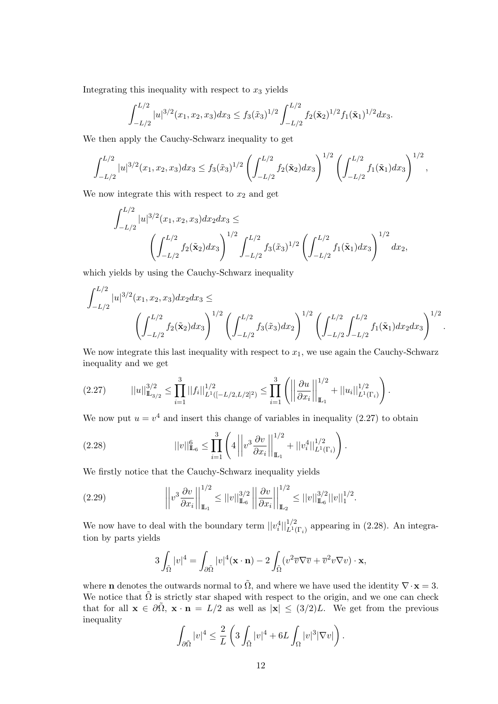Integrating this inequality with respect to  $x_3$  yields

$$
\int_{-L/2}^{L/2} |u|^{3/2}(x_1, x_2, x_3) dx_3 \le f_3(\tilde{x}_3)^{1/2} \int_{-L/2}^{L/2} f_2(\tilde{\mathbf{x}}_2)^{1/2} f_1(\tilde{\mathbf{x}}_1)^{1/2} dx_3.
$$

We then apply the Cauchy-Schwarz inequality to get

$$
\int_{-L/2}^{L/2} |u|^{3/2} (x_1, x_2, x_3) dx_3 \le f_3(\tilde{x}_3)^{1/2} \left( \int_{-L/2}^{L/2} f_2(\tilde{x}_2) dx_3 \right)^{1/2} \left( \int_{-L/2}^{L/2} f_1(\tilde{x}_1) dx_3 \right)^{1/2},
$$

We now integrate this with respect to  $x_2$  and get

$$
\int_{-L/2}^{L/2} |u|^{3/2} (x_1, x_2, x_3) dx_2 dx_3 \le
$$
\n
$$
\left( \int_{-L/2}^{L/2} f_2(\tilde{\mathbf{x}}_2) dx_3 \right)^{1/2} \int_{-L/2}^{L/2} f_3(\tilde{x}_3)^{1/2} \left( \int_{-L/2}^{L/2} f_1(\tilde{\mathbf{x}}_1) dx_3 \right)^{1/2} dx_2,
$$

which yields by using the Cauchy-Schwarz inequality

$$
\int_{-L/2}^{L/2} |u|^{3/2} (x_1, x_2, x_3) dx_2 dx_3 \le \left( \int_{-L/2}^{L/2} f_2(\tilde{\mathbf{x}}_2) dx_3 \right)^{1/2} \left( \int_{-L/2}^{L/2} f_3(\tilde{x}_3) dx_2 \right)^{1/2} \left( \int_{-L/2}^{L/2} \int_{-L/2}^{L/2} f_1(\tilde{\mathbf{x}}_1) dx_2 dx_3 \right)^{1/2}.
$$

We now integrate this last inequality with respect to  $x_1$ , we use again the Cauchy-Schwarz inequality and we get

$$
(2.27) \t\t ||u||_{\mathbb{L}_{3/2}}^{3/2} \leq \prod_{i=1}^{3} ||f_i||_{L^1([-L/2,L/2]^2)}^{1/2} \leq \prod_{i=1}^{3} \left( \left| \left| \frac{\partial u}{\partial x_i} \right| \right|_{\mathbb{L}_1}^{1/2} + ||u_i||_{L^1(\Gamma_i)}^{1/2} \right).
$$

We now put  $u = v^4$  and insert this change of variables in inequality (2.27) to obtain

(2.28) 
$$
||v||_{\mathbb{L}_6}^6 \leq \prod_{i=1}^3 \left( 4 \left| \left| v^3 \frac{\partial v}{\partial x_i} \right| \right|_{\mathbb{L}_1}^{1/2} + ||v_i^4||_{L^1(\Gamma_i)}^{1/2} \right).
$$

We firstly notice that the Cauchy-Schwarz inequality yields

$$
(2.29) \t\t \t\t ||v^3 \frac{\partial v}{\partial x_i}||_{\mathbb{L}_1}^{1/2} \leq ||v||_{\mathbb{L}_6}^{3/2} \left||\frac{\partial v}{\partial x_i}|\right|_{\mathbb{L}_2}^{1/2} \leq ||v||_{\mathbb{L}_6}^{3/2} ||v||_1^{1/2}.
$$

We now have to deal with the boundary term  $||v_i^4||_{L^1(\Gamma_i)}^{1/2}$  appearing in (2.28). An integration by parts yields

$$
3\int_{\tilde{\Omega}}|v|^4 = \int_{\partial\tilde{\Omega}}|v|^4(\mathbf{x}\cdot\mathbf{n}) - 2\int_{\tilde{\Omega}}(v^2\overline{v}\nabla\overline{v} + \overline{v}^2v\nabla v)\cdot\mathbf{x},
$$

where **n** denotes the outwards normal to  $\tilde{\Omega}$ , and where we have used the identity  $\nabla \cdot \mathbf{x} = 3$ . We notice that  $\tilde{\Omega}$  is strictly star shaped with respect to the origin, and we one can check that for all  $\mathbf{x} \in \partial \tilde{\Omega}$ ,  $\mathbf{x} \cdot \mathbf{n} = L/2$  as well as  $|\mathbf{x}| \leq (3/2)L$ . We get from the previous inequality

$$
\int_{\partial\tilde{\Omega}}|v|^4\leq \frac{2}{L}\left(3\int_{\tilde{\Omega}}|v|^4+6L\int_{\Omega}|v|^3|\nabla v|\right).
$$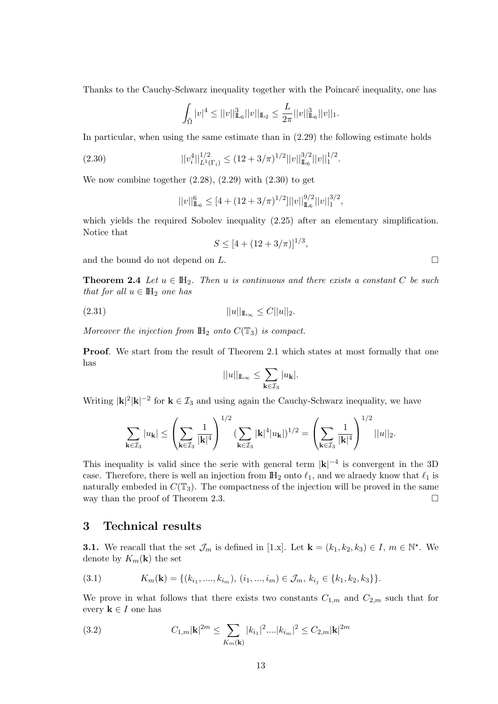Thanks to the Cauchy-Schwarz inequality together with the Poincaré inequality, one has

$$
\int_{\tilde{\Omega}} |v|^4 \le ||v||_{\mathbb{L}_6}^3 ||v||_{\mathbb{L}_2} \le \frac{L}{2\pi} ||v||_{\mathbb{L}_6}^3 ||v||_1.
$$

In particular, when using the same estimate than in (2.29) the following estimate holds

(2.30) 
$$
||v_i^4||_{L^1(\Gamma_i)}^{1/2} \le (12 + 3/\pi)^{1/2} ||v||_{\mathbb{L}_6}^{3/2} ||v||_1^{1/2}.
$$

We now combine together  $(2.28)$ ,  $(2.29)$  with  $(2.30)$  to get

$$
||v||_{\mathbb{L}_6}^6 \leq [4 + (12 + 3/\pi)^{1/2}] ||v||_{\mathbb{L}_6}^{9/2} ||v||_1^{3/2},
$$

which yields the required Sobolev inequality  $(2.25)$  after an elementary simplification. Notice that

$$
S \le [4 + (12 + 3/\pi)]^{1/3},
$$

and the bound do not depend on  $L$ .

**Theorem 2.4** Let  $u \in \mathbb{H}_2$ . Then u is continuous and there exists a constant C be such that for all  $u \in \mathbb{H}_2$  one has

(2.31) 
$$
||u||_{\mathbb{L}_{\infty}} \leq C||u||_{2}.
$$

Moreover the injection from  $\mathbb{H}_2$  onto  $C(\mathbb{T}_3)$  is compact.

Proof. We start from the result of Theorem 2.1 which states at most formally that one has

$$
||u||_{\mathbb{L}_{\infty}} \leq \sum_{\mathbf{k} \in \mathcal{I}_3} |u_{\mathbf{k}}|.
$$

Writing  $|\mathbf{k}|^2 |\mathbf{k}|^{-2}$  for  $\mathbf{k} \in \mathcal{I}_3$  and using again the Cauchy-Schwarz inequality, we have

$$
\sum_{\mathbf{k}\in\mathcal{I}_3}|u_{\mathbf{k}}|\leq \left(\sum_{\mathbf{k}\in\mathcal{I}_3}\frac{1}{|\mathbf{k}|^4}\right)^{1/2}(\sum_{\mathbf{k}\in\mathcal{I}_3}|\mathbf{k}|^4|u_{\mathbf{k}}|)^{1/2}=\left(\sum_{\mathbf{k}\in\mathcal{I}_3}\frac{1}{|\mathbf{k}|^4}\right)^{1/2}||u||_2.
$$

This inequality is valid since the serie with general term  $|{\bf k}|^{-4}$  is convergent in the 3D case. Therefore, there is well an injection from  $\mathbb{H}_2$  onto  $\ell_1$ , and we alraedy know that  $\ell_1$  is naturally embeded in  $C(T_3)$ . The compactness of the injection will be proved in the same way than the proof of Theorem 2.3.

## 3 Technical results

**3.1.** We reacall that the set  $\mathcal{J}_m$  is defined in [1.x]. Let  $\mathbf{k} = (k_1, k_2, k_3) \in I$ ,  $m \in \mathbb{N}^*$ . We denote by  $K_m(\mathbf{k})$  the set

(3.1) 
$$
K_m(\mathbf{k}) = \{ (k_{i_1}, ..., k_{i_m}), (i_1, ..., i_m) \in \mathcal{J}_m, k_{i_j} \in \{k_1, k_2, k_3\} \}.
$$

We prove in what follows that there exists two constants  $C_{1,m}$  and  $C_{2,m}$  such that for every  $\mathbf{k} \in I$  one has

(3.2) 
$$
C_{1,m}|\mathbf{k}|^{2m} \leq \sum_{K_m(\mathbf{k})} |k_{i_1}|^2 ....|k_{i_m}|^2 \leq C_{2,m}|\mathbf{k}|^{2m}
$$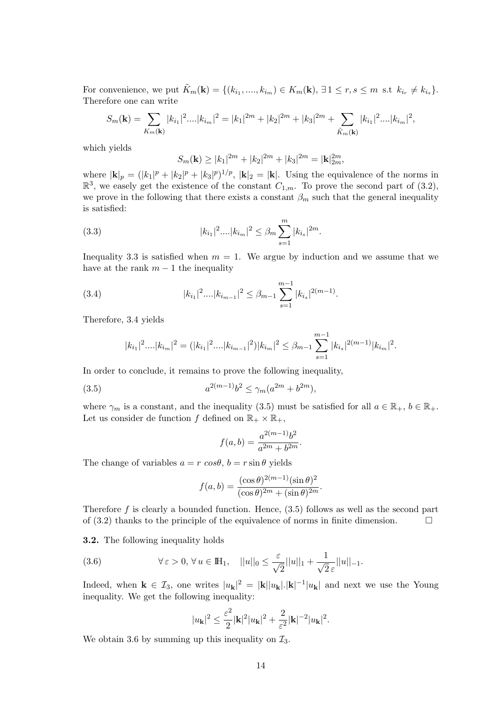For convenience, we put  $\tilde{K}_m(\mathbf{k}) = \{(k_{i_1}, ..., k_{i_m}) \in K_m(\mathbf{k}), \exists 1 \leq r, s \leq m \text{ s.t } k_{i_r} \neq k_{i_s}\}.$ Therefore one can write

$$
S_m(\mathbf{k}) = \sum_{K_m(\mathbf{k})} |k_{i_1}|^2 \dots |k_{i_m}|^2 = |k_1|^{2m} + |k_2|^{2m} + |k_3|^{2m} + \sum_{\tilde{K}_m(\mathbf{k})} |k_{i_1}|^2 \dots |k_{i_m}|^2,
$$

which yields

$$
S_m(\mathbf{k}) \ge |k_1|^{2m} + |k_2|^{2m} + |k_3|^{2m} = |\mathbf{k}|_{2m}^{2m},
$$

where  $|\mathbf{k}|_p = (|k_1|^p + |k_2|^p + |k_3|^p)^{1/p}$ ,  $|\mathbf{k}|_2 = |\mathbf{k}|$ . Using the equivalence of the norms in  $\mathbb{R}^3$ , we easely get the existence of the constant  $C_{1,m}$ . To prove the second part of (3.2), we prove in the following that there exists a constant  $\beta_m$  such that the general inequality is satisfied:

(3.3) 
$$
|k_{i_1}|^2 \dots |k_{i_m}|^2 \leq \beta_m \sum_{s=1}^m |k_{i_s}|^{2m}.
$$

Inequality 3.3 is satisfied when  $m = 1$ . We argue by induction and we assume that we have at the rank  $m-1$  the inequality

(3.4) 
$$
|k_{i_1}|^2 \dots |k_{i_{m-1}}|^2 \leq \beta_{m-1} \sum_{s=1}^{m-1} |k_{i_s}|^{2(m-1)}.
$$

Therefore, 3.4 yields

$$
|k_{i_1}|^2 \dots |k_{i_m}|^2 = (|k_{i_1}|^2 \dots |k_{i_{m-1}}|^2)|k_{i_m}|^2 \leq \beta_{m-1} \sum_{s=1}^{m-1} |k_{i_s}|^{2(m-1)} |k_{i_m}|^2.
$$

In order to conclude, it remains to prove the following inequality,

(3.5) 
$$
a^{2(m-1)}b^2 \le \gamma_m(a^{2m} + b^{2m}),
$$

where  $\gamma_m$  is a constant, and the inequality (3.5) must be satisfied for all  $a \in \mathbb{R}_+$ ,  $b \in \mathbb{R}_+$ . Let us consider de function f defined on  $\mathbb{R}_+ \times \mathbb{R}_+$ ,

$$
f(a,b) = \frac{a^{2(m-1)}b^2}{a^{2m} + b^{2m}}.
$$

The change of variables  $a = r \cos\theta$ ,  $b = r \sin\theta$  yields

$$
f(a,b) = \frac{(\cos \theta)^{2(m-1)}(\sin \theta)^2}{(\cos \theta)^{2m} + (\sin \theta)^{2m}}.
$$

Therefore f is clearly a bounded function. Hence,  $(3.5)$  follows as well as the second part of (3.2) thanks to the principle of the equivalence of norms in finite dimension.  $\Box$ 

3.2. The following inequality holds

(3.6) 
$$
\forall \varepsilon > 0, \forall u \in \mathbb{H}_1, \quad ||u||_0 \leq \frac{\varepsilon}{\sqrt{2}} ||u||_1 + \frac{1}{\sqrt{2}\varepsilon} ||u||_{-1}.
$$

Indeed, when  $\mathbf{k} \in \mathcal{I}_3$ , one writes  $|u_{\mathbf{k}}|^2 = |\mathbf{k}| |u_{\mathbf{k}}| |\mathbf{k}|^{-1} |u_{\mathbf{k}}|$  and next we use the Young inequality. We get the following inequality:

$$
|u_{\mathbf{k}}|^2 \leq \frac{\varepsilon^2}{2} |\mathbf{k}|^2 |u_{\mathbf{k}}|^2 + \frac{2}{\varepsilon^2} |\mathbf{k}|^{-2} |u_{\mathbf{k}}|^2.
$$

We obtain 3.6 by summing up this inequality on  $\mathcal{I}_3$ .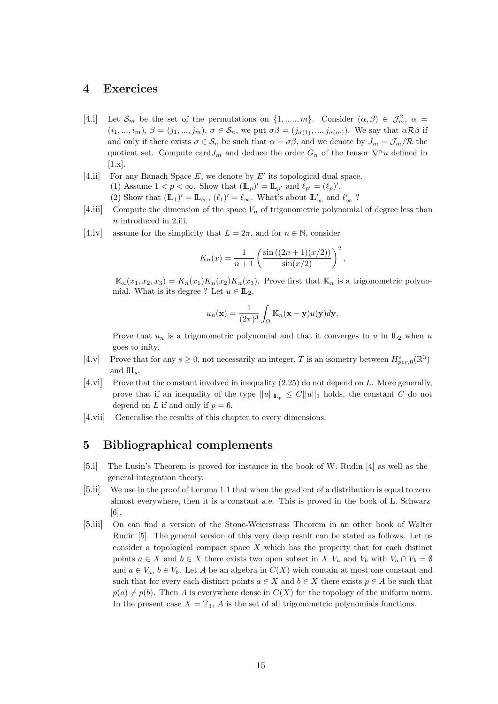## 4 Exercices

- [4.i] Let  $\mathcal{S}_m$  be the set of the permutations on  $\{1, \ldots, m\}$ . Consider  $(\alpha, \beta) \in \mathcal{J}_m^2$ ,  $\alpha =$  $(i_1, ..., i_m)$ ,  $\beta = (j_1, ..., j_m)$ ,  $\sigma \in S_n$ , we put  $\sigma\beta = (j_{\sigma(1)}, ..., j_{\sigma(m)})$ . We say that  $\alpha \mathcal{R} \beta$  if and only if there exists  $\sigma \in \mathcal{S}_n$  be such that  $\alpha = \sigma \beta$ , and we denote by  $J_m = \mathcal{J}_m / \mathcal{R}$  the quotient set. Compute card $J_m$  and deduce the order  $G_n$  of the tensor  $\nabla^n u$  defined in [1.x].
- [4.ii] For any Banach Space  $E$ , we denote by  $E'$  its topological dual space. (1) Assume  $1 < p < \infty$ . Show that  $(\mathbb{L}_p)' = \mathbb{L}_{p'}$  and  $\ell_{p'} = (\ell_p)'$ . (2) Show that  $(\mathbb{L}_1)' = \mathbb{L}_{\infty}$ ,  $(\ell_1)' = \ell_{\infty}$ . What's about  $\mathbb{L}'_{\infty}$  and  $\ell'_{\infty}$ ?
- [4.iii] Compute the dimension of the space  $V_n$  of trigonometric polynomial of degree less than n introduced in 2.iii.
- [4.iv] assume for the simplicity that  $L = 2\pi$ , and for  $n \in \mathbb{N}$ , consider

$$
K_n(x) = \frac{1}{n+1} \left( \frac{\sin ((2n+1)(x/2))}{\sin (x/2)} \right)^2,
$$

 $\mathbb{K}_n(x_1, x_2, x_3) = K_n(x_1)K_n(x_2)K_n(x_3)$ . Prove first that  $\mathbb{K}_n$  is a trigonometric polynomial. What is its degree ? Let  $u \in \mathbb{L}_2$ ,

$$
u_n(\mathbf{x}) = \frac{1}{(2\pi)^3} \int_{\Omega} \mathbb{K}_n(\mathbf{x} - \mathbf{y}) u(\mathbf{y}) d\mathbf{y}.
$$

Prove that  $u_n$  is a trigonometric polynomial and that it converges to u in  $\mathbb{L}_2$  when n goes to infty.

- [4.v] Prove that for any  $s \geq 0$ , not necessarily an integer, T is an isometry between  $H_{per,0}^s(\mathbb{R}^3)$ and  $\mathbb{H}_s$ .
- [4.vi] Prove that the constant involved in inequality (2.25) do not depend on L. More generally, prove that if an inequality of the type  $||u||_{L_p} \leq C||u||_1$  holds, the constant C do not depend on L if and only if  $p = 6$ .
- [4.vii] Generalise the results of this chapter to every dimensions.

# 5 Bibliographical complements

- [5.i] The Lusin's Theorem is proved for instance in the book of W. Rudin [4] as well as the general integration theory.
- [5.ii] We use in the proof of Lemma 1.1 that when the gradient of a distribution is equal to zero almost everywhere, then it is a constant a.e. This is proved in the book of L. Schwarz [6].
- [5.iii] On can find a version of the Stone-Weierstrass Theorem in an other book of Walter Rudin [5]. The general version of this very deep result can be stated as follows. Let us consider a topological compact space  $X$  which has the property that for each distinct points  $a \in X$  and  $b \in X$  there exists two open subset in X  $V_a$  and  $V_b$  with  $V_a \cap V_b = \emptyset$ and  $a \in V_a$ ,  $b \in V_b$ . Let A be an algebra in  $C(X)$  wich contain at most one constant and such that for every each distinct points  $a \in X$  and  $b \in X$  there exists  $p \in A$  be such that  $p(a) \neq p(b)$ . Then A is everywhere dense in  $C(X)$  for the topology of the uniform norm. In the present case  $X = \mathbb{T}_3$ , A is the set of all trigonometric polynomials functions.